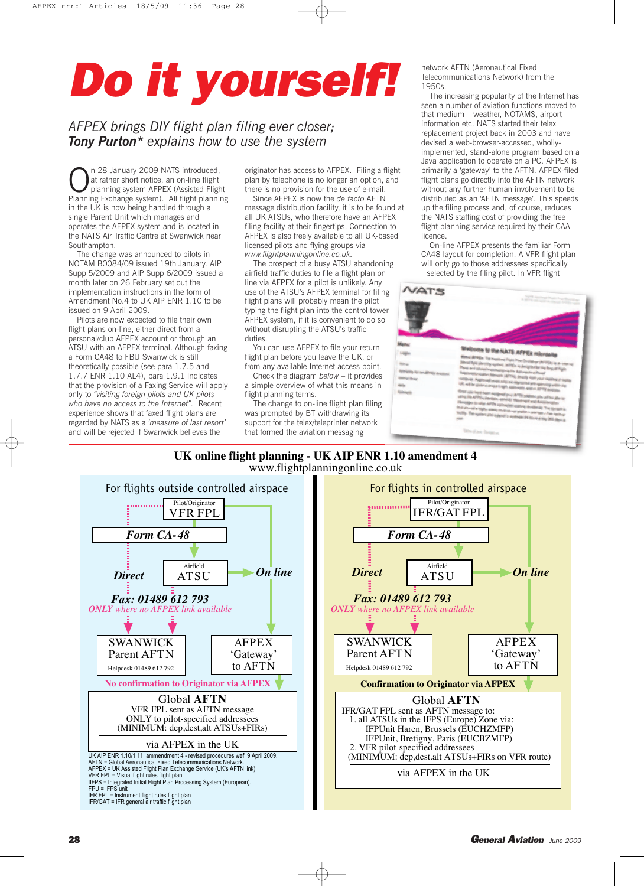## *Do it yourself!*

*AFPEX brings DIY flight plan filing ever closer; Tony Purton\* explains how to use the system*

**On** 28 January 2009 NATS introduced,<br>at rather short notice, an on-line flight<br>planning Exchange system). All flight planning at rather short notice, an on-line flight planning system AFPEX (Assisted Flight in the UK is now being handled through a single Parent Unit which manages and operates the AFPEX system and is located in the NATS Air Traffic Centre at Swanwick near Southampton.

The change was announced to pilots in NOTAM B0084/09 issued 19th January. AIP Supp 5/2009 and AIP Supp 6/2009 issued a month later on 26 February set out the implementation instructions in the form of Amendment No.4 to UK AIP ENR 1.10 to be issued on 9 April 2009.

Pilots are now expected to file their own flight plans on-line, either direct from a personal/club AFPEX account or through an ATSU with an AFPEX terminal. Although faxing a Form CA48 to FBU Swanwick is still theoretically possible (see para 1.7.5 and 1.7.7 ENR 1.10 AL4), para 1.9.1 indicates that the provision of a Faxing Service will apply only to *"visiting foreign pilots and UK pilots who have no access to the Internet".* Recent experience shows that faxed flight plans are regarded by NATS as a *'measure of last resort'* and will be rejected if Swanwick believes the

originator has access to AFPEX. Filing a flight plan by telephone is no longer an option, and there is no provision for the use of e-mail.

Since AFPEX is now the *de facto* AFTN message distribution facility, it is to be found at all UK ATSUs, who therefore have an AFPEX filing facility at their fingertips. Connection to AFPEX is also freely available to all UK-based licensed pilots and flying groups via *www.flightplanningonline.co.uk.*

The prospect of a busy ATSU abandoning airfield traffic duties to file a flight plan on line via AFPEX for a pilot is unlikely. Any use of the ATSU's AFPEX terminal for filing flight plans will probably mean the pilot typing the flight plan into the control tower AFPEX system, if it is convenient to do so without disrupting the ATSU's traffic duties.

You can use AFPEX to file your return flight plan before you leave the UK, or from any available Internet access point.

Check the diagram *below* – it provides a simple overview of what this means in flight planning terms.

The change to on-line flight plan filing was prompted by BT withdrawing its support for the telex/teleprinter network that formed the aviation messaging

network AFTN (Aeronautical Fixed Telecommunications Network) from the 1950s.

The increasing popularity of the Internet has seen a number of aviation functions moved to that medium – weather, NOTAMS, airport information etc. NATS started their telex replacement project back in 2003 and have devised a web-browser-accessed, whollyimplemented, stand-alone program based on a Java application to operate on a PC. AFPEX is primarily a 'gateway' to the AFTN. AFPEX-filed flight plans go directly into the AFTN network without any further human involvement to be distributed as an 'AFTN message'. This speeds up the filing process and, of course, reduces the NATS staffing cost of providing the free flight planning service required by their CAA licence.

On-line AFPEX presents the familiar Form CA48 layout for completion. A VFR flight plan will only go to those addressees specifically selected by the filing pilot. In VFR flight